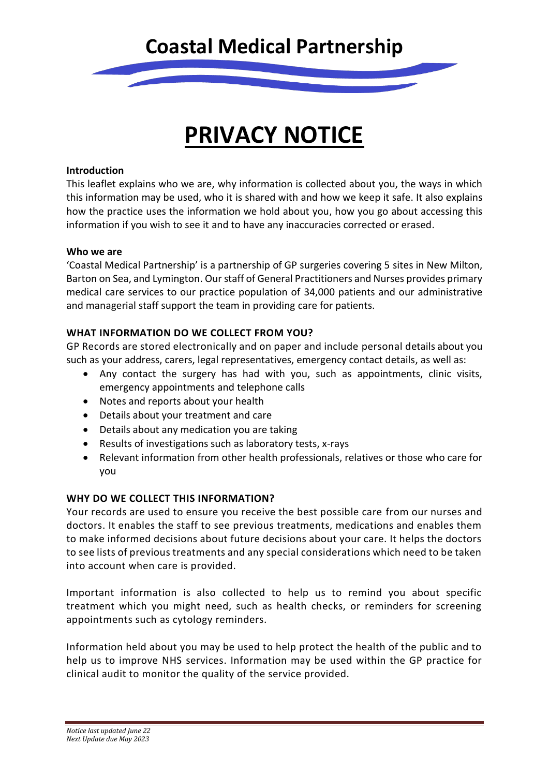

# **PRIVACY NOTICE**

#### **Introduction**

This leaflet explains who we are, why information is collected about you, the ways in which this information may be used, who it is shared with and how we keep it safe. It also explains how the practice uses the information we hold about you, how you go about accessing this information if you wish to see it and to have any inaccuracies corrected or erased.

#### **Who we are**

'Coastal Medical Partnership' is a partnership of GP surgeries covering 5 sites in New Milton, Barton on Sea, and Lymington. Our staff of General Practitioners and Nurses provides primary medical care services to our practice population of 34,000 patients and our administrative and managerial staff support the team in providing care for patients.

#### **WHAT INFORMATION DO WE COLLECT FROM YOU?**

GP Records are stored electronically and on paper and include personal details about you such as your address, carers, legal representatives, emergency contact details, as well as:

- Any contact the surgery has had with you, such as appointments, clinic visits, emergency appointments and telephone calls
- Notes and reports about your health
- Details about your treatment and care
- Details about any medication you are taking
- Results of investigations such as laboratory tests, x-rays
- Relevant information from other health professionals, relatives or those who care for you

#### **WHY DO WE COLLECT THIS INFORMATION?**

Your records are used to ensure you receive the best possible care from our nurses and doctors. It enables the staff to see previous treatments, medications and enables them to make informed decisions about future decisions about your care. It helps the doctors to see lists of previous treatments and any special considerations which need to be taken into account when care is provided.

Important information is also collected to help us to remind you about specific treatment which you might need, such as health checks, or reminders for screening appointments such as cytology reminders.

Information held about you may be used to help protect the health of the public and to help us to improve NHS services. Information may be used within the GP practice for clinical audit to monitor the quality of the service provided.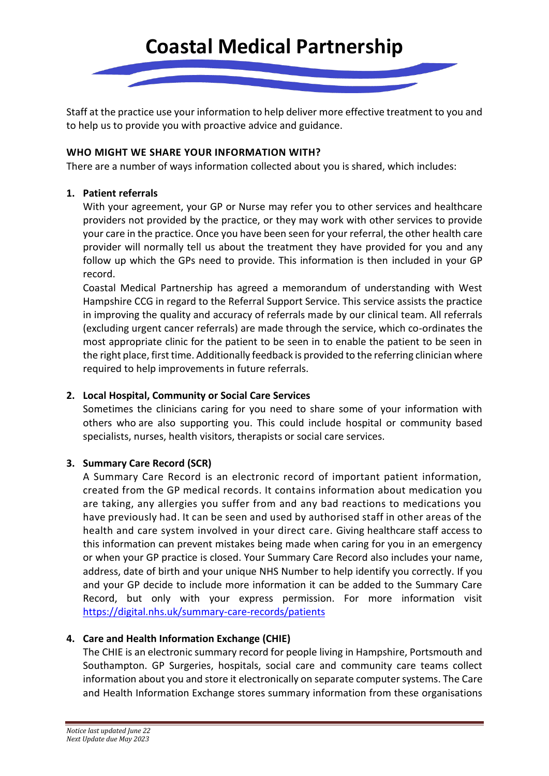

Staff at the practice use your information to help deliver more effective treatment to you and to help us to provide you with proactive advice and guidance.

#### **WHO MIGHT WE SHARE YOUR INFORMATION WITH?**

There are a number of ways information collected about you is shared, which includes:

#### **1. Patient referrals**

With your agreement, your GP or Nurse may refer you to other services and healthcare providers not provided by the practice, or they may work with other services to provide your care in the practice. Once you have been seen for your referral, the other health care provider will normally tell us about the treatment they have provided for you and any follow up which the GPs need to provide. This information is then included in your GP record.

Coastal Medical Partnership has agreed a memorandum of understanding with West Hampshire CCG in regard to the Referral Support Service. This service assists the practice in improving the quality and accuracy of referrals made by our clinical team. All referrals (excluding urgent cancer referrals) are made through the service, which co-ordinates the most appropriate clinic for the patient to be seen in to enable the patient to be seen in the right place, first time. Additionally feedback is provided to the referring clinician where required to help improvements in future referrals.

#### **2. Local Hospital, Community or Social Care Services**

Sometimes the clinicians caring for you need to share some of your information with others who are also supporting you. This could include hospital or community based specialists, nurses, health visitors, therapists or social care services.

#### **3. Summary Care Record (SCR)**

A Summary Care Record is an electronic record of important patient information, created from the GP medical records. It contains information about medication you are taking, any allergies you suffer from and any bad reactions to medications you have previously had. It can be seen and used by authorised staff in other areas of the health and care system involved in your direct care. Giving healthcare staff access to this information can prevent mistakes being made when caring for you in an emergency or when your GP practice is closed. Your Summary Care Record also includes your name, address, date of birth and your unique NHS Number to help identify you correctly. If you and your GP decide to include more information it can be added to the Summary Care Record, but only with your express permission. For more information visit <https://digital.nhs.uk/summary-care-records/patients>

#### **4. Care and Health Information Exchange (CHIE)**

The CHIE is an electronic summary record for people living in Hampshire, Portsmouth and Southampton. GP Surgeries, hospitals, social care and community care teams collect information about you and store it electronically on separate computer systems. The Care and Health Information Exchange stores summary information from these organisations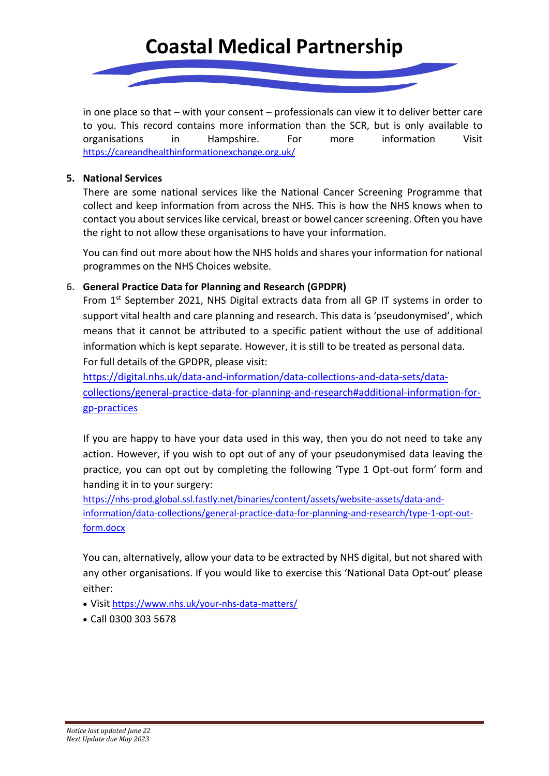## **Coastal Medical Partnership**



in one place so that – with your consent – professionals can view it to deliver better care to you. This record contains more information than the SCR, but is only available to organisations in Hampshire. For more information Visit <https://careandhealthinformationexchange.org.uk/>

#### **5. National Services**

There are some national services like the National Cancer Screening Programme that collect and keep information from across the NHS. This is how the NHS knows when to contact you about services like cervical, breast or bowel cancer screening. Often you have the right to not allow these organisations to have your information.

You can find out more about how the NHS holds and shares your information for national programmes on the [NHS Choices website.](http://www.nhs.uk/NHSEngland/thenhs/records/healthrecords/Pages/overview.aspx)

#### **6. General Practice Data for Planning and Research (GPDPR)**

From 1<sup>st</sup> September 2021, NHS Digital extracts data from all GP IT systems in order to support vital health and care planning and research. This data is 'pseudonymised', which means that it cannot be attributed to a specific patient without the use of additional information which is kept separate. However, it is still to be treated as personal data. For full details of the GPDPR, please visit:

[https://digital.nhs.uk/data-and-information/data-collections-and-data-sets/data](https://digital.nhs.uk/data-and-information/data-collections-and-data-sets/data-collections/general-practice-data-for-planning-and-research#additional-information-for-gp-practices)[collections/general-practice-data-for-planning-and-research#additional-information-for](https://digital.nhs.uk/data-and-information/data-collections-and-data-sets/data-collections/general-practice-data-for-planning-and-research#additional-information-for-gp-practices)[gp-practices](https://digital.nhs.uk/data-and-information/data-collections-and-data-sets/data-collections/general-practice-data-for-planning-and-research#additional-information-for-gp-practices)

If you are happy to have your data used in this way, then you do not need to take any action. However, if you wish to opt out of any of your pseudonymised data leaving the practice, you can opt out by completing the following 'Type 1 Opt-out form' form and handing it in to your surgery:

[https://nhs-prod.global.ssl.fastly.net/binaries/content/assets/website-assets/data-and](https://nhs-prod.global.ssl.fastly.net/binaries/content/assets/website-assets/data-and-information/data-collections/general-practice-data-for-planning-and-research/type-1-opt-out-form.docx)[information/data-collections/general-practice-data-for-planning-and-research/type-1-opt-out](https://nhs-prod.global.ssl.fastly.net/binaries/content/assets/website-assets/data-and-information/data-collections/general-practice-data-for-planning-and-research/type-1-opt-out-form.docx)[form.docx](https://nhs-prod.global.ssl.fastly.net/binaries/content/assets/website-assets/data-and-information/data-collections/general-practice-data-for-planning-and-research/type-1-opt-out-form.docx)

You can, alternatively, allow your data to be extracted by NHS digital, but not shared with any other organisations. If you would like to exercise this 'National Data Opt-out' please either:

- Visit <https://www.nhs.uk/your-nhs-data-matters/>
- Call 0300 303 5678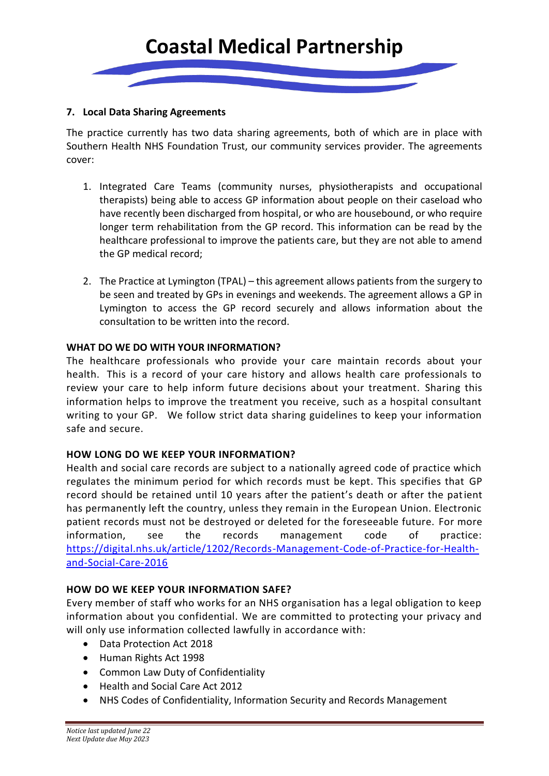

#### **7. Local Data Sharing Agreements**

The practice currently has two data sharing agreements, both of which are in place with Southern Health NHS Foundation Trust, our community services provider. The agreements cover:

- 1. Integrated Care Teams (community nurses, physiotherapists and occupational therapists) being able to access GP information about people on their caseload who have recently been discharged from hospital, or who are housebound, or who require longer term rehabilitation from the GP record. This information can be read by the healthcare professional to improve the patients care, but they are not able to amend the GP medical record;
- 2. The Practice at Lymington (TPAL) this agreement allows patients from the surgery to be seen and treated by GPs in evenings and weekends. The agreement allows a GP in Lymington to access the GP record securely and allows information about the consultation to be written into the record.

#### **WHAT DO WE DO WITH YOUR INFORMATION?**

The healthcare professionals who provide your care maintain records about your health. This is a record of your care history and allows health care professionals to review your care to help inform future decisions about your treatment. Sharing this information helps to improve the treatment you receive, such as a hospital consultant writing to your GP. We follow strict data sharing guidelines to keep your information safe and secure.

#### **HOW LONG DO WE KEEP YOUR INFORMATION?**

Health and social care records are subject to a nationally agreed code of practice which regulates the minimum period for which records must be kept. This specifies that GP record should be retained until 10 years after the patient's death or after the patient has permanently left the country, unless they remain in the European Union. Electronic patient records must not be destroyed or deleted for the foreseeable future. For more information, see the records management code of practice: [https://digital.nhs.uk/article/1202/Records-Management-Code-of-Practice-for-Health](https://digital.nhs.uk/article/1202/Records-Management-Code-of-Practice-for-Health-and-Social-Care-2016)[and-Social-Care-2016](https://digital.nhs.uk/article/1202/Records-Management-Code-of-Practice-for-Health-and-Social-Care-2016)

#### **HOW DO WE KEEP YOUR INFORMATION SAFE?**

Every member of staff who works for an NHS organisation has a legal obligation to keep information about you confidential. We are committed to protecting your privacy and will only use information collected lawfully in accordance with:

- Data Protection Act 2018
- Human Rights Act 1998
- Common Law Duty of Confidentiality
- Health and Social Care Act 2012
- NHS Codes of Confidentiality, Information Security and Records Management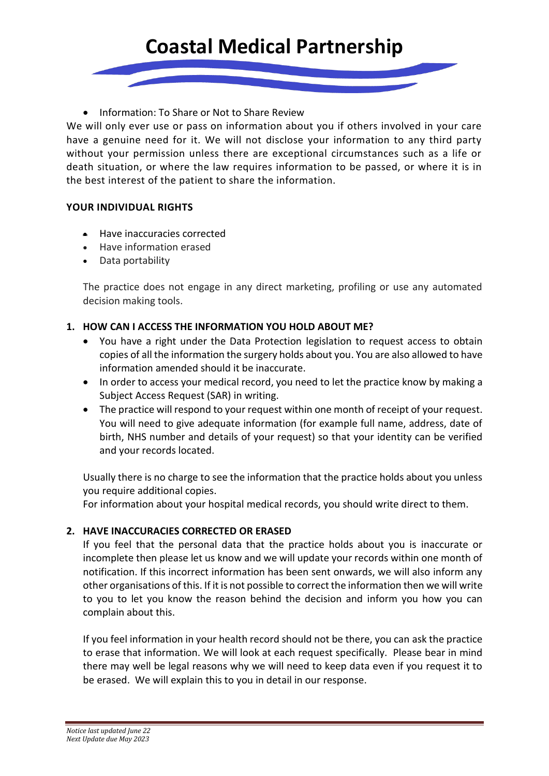### **Coastal Medical Partnership**

• Information: To Share or Not to Share Review

We will only ever use or pass on information about you if others involved in your care have a genuine need for it. We will not disclose your information to any third party without your permission unless there are exceptional circumstances such as a life or death situation, or where the law requires information to be passed, or where it is in the best interest of the patient to share the information.

#### **YOUR INDIVIDUAL RIGHTS**

- Have inaccuracies corrected
- Have information erased
- Data portability

The practice does not engage in any direct marketing, profiling or use any automated decision making tools.

#### **1. HOW CAN I ACCESS THE INFORMATION YOU HOLD ABOUT ME?**

- You have a right under the Data Protection legislation to request access to obtain copies of all the information the surgery holds about you. You are also allowed to have information amended should it be inaccurate.
- In order to access your medical record, you need to let the practice know by making a Subject Access Request (SAR) in writing.
- The practice will respond to your request within one month of receipt of your request. You will need to give adequate information (for example full name, address, date of birth, NHS number and details of your request) so that your identity can be verified and your records located.

Usually there is no charge to see the information that the practice holds about you unless you require additional copies.

For information about your hospital medical records, you should write direct to them.

#### **2. HAVE INACCURACIES CORRECTED OR ERASED**

If you feel that the personal data that the practice holds about you is inaccurate or incomplete then please let us know and we will update your records within one month of notification. If this incorrect information has been sent onwards, we will also inform any other organisations of this. If it is not possible to correct the information then we will write to you to let you know the reason behind the decision and inform you how you can complain about this.

If you feel information in your health record should not be there, you can ask the practice to erase that information. We will look at each request specifically. Please bear in mind there may well be legal reasons why we will need to keep data even if you request it to be erased. We will explain this to you in detail in our response.